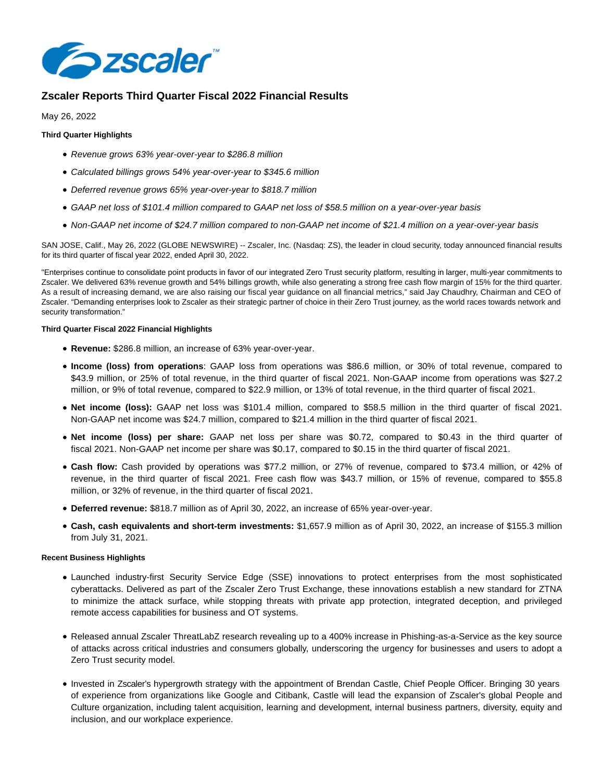

# **Zscaler Reports Third Quarter Fiscal 2022 Financial Results**

May 26, 2022

## **Third Quarter Highlights**

- Revenue grows 63% year-over-year to \$286.8 million
- Calculated billings grows 54% year-over-year to \$345.6 million
- Deferred revenue grows 65% year-over-year to \$818.7 million
- GAAP net loss of \$101.4 million compared to GAAP net loss of \$58.5 million on a year-over-year basis
- Non-GAAP net income of \$24.7 million compared to non-GAAP net income of \$21.4 million on a year-over-year basis

SAN JOSE, Calif., May 26, 2022 (GLOBE NEWSWIRE) -- Zscaler, Inc. (Nasdaq: ZS), the leader in cloud security, today announced financial results for its third quarter of fiscal year 2022, ended April 30, 2022.

"Enterprises continue to consolidate point products in favor of our integrated Zero Trust security platform, resulting in larger, multi-year commitments to Zscaler. We delivered 63% revenue growth and 54% billings growth, while also generating a strong free cash flow margin of 15% for the third quarter. As a result of increasing demand, we are also raising our fiscal year guidance on all financial metrics," said Jay Chaudhry, Chairman and CEO of Zscaler. "Demanding enterprises look to Zscaler as their strategic partner of choice in their Zero Trust journey, as the world races towards network and security transformation."

### **Third Quarter Fiscal 2022 Financial Highlights**

- **Revenue:** \$286.8 million, an increase of 63% year-over-year.
- **Income (loss) from operations**: GAAP loss from operations was \$86.6 million, or 30% of total revenue, compared to \$43.9 million, or 25% of total revenue, in the third quarter of fiscal 2021. Non-GAAP income from operations was \$27.2 million, or 9% of total revenue, compared to \$22.9 million, or 13% of total revenue, in the third quarter of fiscal 2021.
- **Net income (loss):** GAAP net loss was \$101.4 million, compared to \$58.5 million in the third quarter of fiscal 2021. Non-GAAP net income was \$24.7 million, compared to \$21.4 million in the third quarter of fiscal 2021.
- **Net income (loss) per share:** GAAP net loss per share was \$0.72, compared to \$0.43 in the third quarter of fiscal 2021. Non-GAAP net income per share was \$0.17, compared to \$0.15 in the third quarter of fiscal 2021.
- **Cash flow:** Cash provided by operations was \$77.2 million, or 27% of revenue, compared to \$73.4 million, or 42% of revenue, in the third quarter of fiscal 2021. Free cash flow was \$43.7 million, or 15% of revenue, compared to \$55.8 million, or 32% of revenue, in the third quarter of fiscal 2021.
- **Deferred revenue:** \$818.7 million as of April 30, 2022, an increase of 65% year-over-year.
- **Cash, cash equivalents and short-term investments:** \$1,657.9 million as of April 30, 2022, an increase of \$155.3 million from July 31, 2021.

### **Recent Business Highlights**

- Launched industry-first Security Service Edge (SSE) innovations to protect enterprises from the most sophisticated cyberattacks. Delivered as part of the Zscaler Zero Trust Exchange, these innovations establish a new standard for ZTNA to minimize the attack surface, while stopping threats with private app protection, integrated deception, and privileged remote access capabilities for business and OT systems.
- Released annual Zscaler ThreatLabZ research revealing up to a 400% increase in Phishing-as-a-Service as the key source of attacks across critical industries and consumers globally, underscoring the urgency for businesses and users to adopt a Zero Trust security model.
- Invested in Zscaler's hypergrowth strategy with the appointment of Brendan Castle, Chief People Officer. Bringing 30 years of experience from organizations like Google and Citibank, Castle will lead the expansion of Zscaler's global People and Culture organization, including talent acquisition, learning and development, internal business partners, diversity, equity and inclusion, and our workplace experience.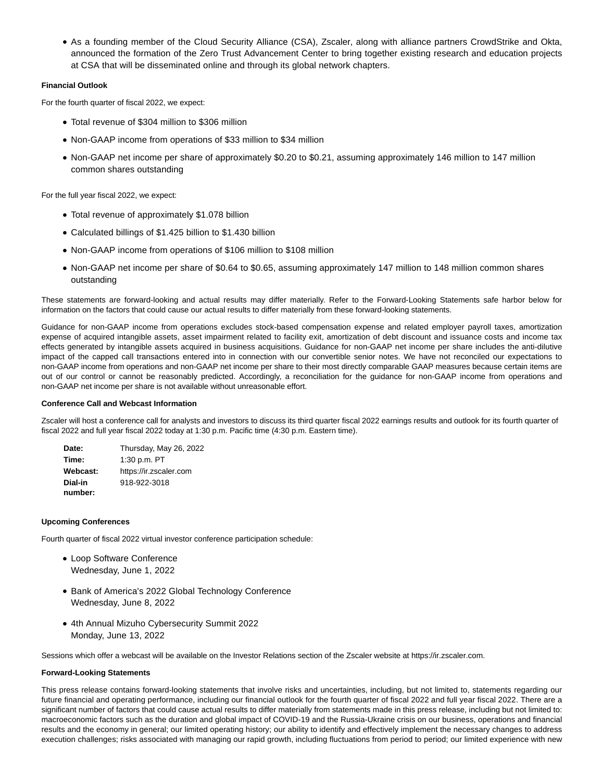As a founding member of the Cloud Security Alliance (CSA), Zscaler, along with alliance partners CrowdStrike and Okta, announced the formation of the Zero Trust Advancement Center to bring together existing research and education projects at CSA that will be disseminated online and through its global network chapters.

### **Financial Outlook**

For the fourth quarter of fiscal 2022, we expect:

- Total revenue of \$304 million to \$306 million
- Non-GAAP income from operations of \$33 million to \$34 million
- Non-GAAP net income per share of approximately \$0.20 to \$0.21, assuming approximately 146 million to 147 million common shares outstanding

For the full year fiscal 2022, we expect:

- Total revenue of approximately \$1.078 billion
- Calculated billings of \$1.425 billion to \$1.430 billion
- Non-GAAP income from operations of \$106 million to \$108 million
- Non-GAAP net income per share of \$0.64 to \$0.65, assuming approximately 147 million to 148 million common shares outstanding

These statements are forward-looking and actual results may differ materially. Refer to the Forward-Looking Statements safe harbor below for information on the factors that could cause our actual results to differ materially from these forward-looking statements.

Guidance for non-GAAP income from operations excludes stock-based compensation expense and related employer payroll taxes, amortization expense of acquired intangible assets, asset impairment related to facility exit, amortization of debt discount and issuance costs and income tax effects generated by intangible assets acquired in business acquisitions. Guidance for non-GAAP net income per share includes the anti-dilutive impact of the capped call transactions entered into in connection with our convertible senior notes. We have not reconciled our expectations to non-GAAP income from operations and non-GAAP net income per share to their most directly comparable GAAP measures because certain items are out of our control or cannot be reasonably predicted. Accordingly, a reconciliation for the guidance for non-GAAP income from operations and non-GAAP net income per share is not available without unreasonable effort.

### **Conference Call and Webcast Information**

Zscaler will host a conference call for analysts and investors to discuss its third quarter fiscal 2022 earnings results and outlook for its fourth quarter of fiscal 2022 and full year fiscal 2022 today at 1:30 p.m. Pacific time (4:30 p.m. Eastern time).

**Date:** Thursday, May 26, 2022 **Time:** 1:30 p.m. PT **Webcast:** https://ir.zscaler.com **Dial-in number:** 918-922-3018

### **Upcoming Conferences**

Fourth quarter of fiscal 2022 virtual investor conference participation schedule:

- Loop Software Conference Wednesday, June 1, 2022
- Bank of America's 2022 Global Technology Conference Wednesday, June 8, 2022
- 4th Annual Mizuho Cybersecurity Summit 2022 Monday, June 13, 2022

Sessions which offer a webcast will be available on the Investor Relations section of the Zscaler website at https://ir.zscaler.com.

### **Forward-Looking Statements**

This press release contains forward-looking statements that involve risks and uncertainties, including, but not limited to, statements regarding our future financial and operating performance, including our financial outlook for the fourth quarter of fiscal 2022 and full year fiscal 2022. There are a significant number of factors that could cause actual results to differ materially from statements made in this press release, including but not limited to: macroeconomic factors such as the duration and global impact of COVID-19 and the Russia-Ukraine crisis on our business, operations and financial results and the economy in general; our limited operating history; our ability to identify and effectively implement the necessary changes to address execution challenges; risks associated with managing our rapid growth, including fluctuations from period to period; our limited experience with new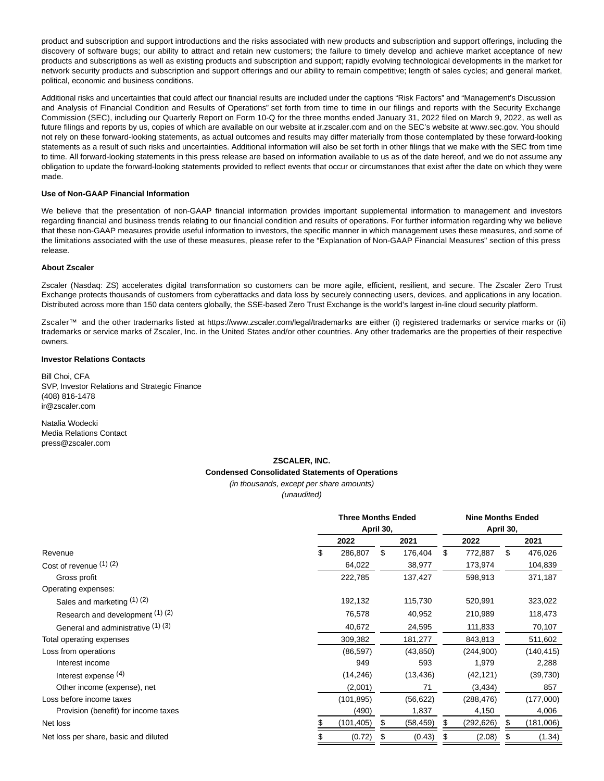product and subscription and support introductions and the risks associated with new products and subscription and support offerings, including the discovery of software bugs; our ability to attract and retain new customers; the failure to timely develop and achieve market acceptance of new products and subscriptions as well as existing products and subscription and support; rapidly evolving technological developments in the market for network security products and subscription and support offerings and our ability to remain competitive; length of sales cycles; and general market, political, economic and business conditions.

Additional risks and uncertainties that could affect our financial results are included under the captions "Risk Factors" and "Management's Discussion and Analysis of Financial Condition and Results of Operations" set forth from time to time in our filings and reports with the Security Exchange Commission (SEC), including our Quarterly Report on Form 10-Q for the three months ended January 31, 2022 filed on March 9, 2022, as well as future filings and reports by us, copies of which are available on our website at ir.zscaler.com and on the SEC's website at www.sec.gov. You should not rely on these forward-looking statements, as actual outcomes and results may differ materially from those contemplated by these forward-looking statements as a result of such risks and uncertainties. Additional information will also be set forth in other filings that we make with the SEC from time to time. All forward-looking statements in this press release are based on information available to us as of the date hereof, and we do not assume any obligation to update the forward-looking statements provided to reflect events that occur or circumstances that exist after the date on which they were made.

### **Use of Non-GAAP Financial Information**

We believe that the presentation of non-GAAP financial information provides important supplemental information to management and investors regarding financial and business trends relating to our financial condition and results of operations. For further information regarding why we believe that these non-GAAP measures provide useful information to investors, the specific manner in which management uses these measures, and some of the limitations associated with the use of these measures, please refer to the "Explanation of Non-GAAP Financial Measures" section of this press release.

### **About Zscaler**

Zscaler (Nasdaq: ZS) accelerates digital transformation so customers can be more agile, efficient, resilient, and secure. The Zscaler Zero Trust Exchange protects thousands of customers from cyberattacks and data loss by securely connecting users, devices, and applications in any location. Distributed across more than 150 data centers globally, the SSE-based Zero Trust Exchange is the world's largest in-line cloud security platform.

Zscaler™ and the other trademarks listed at https://www.zscaler.com/legal/trademarks are either (i) registered trademarks or service marks or (ii) trademarks or service marks of Zscaler, Inc. in the United States and/or other countries. Any other trademarks are the properties of their respective owners.

#### **Investor Relations Contacts**

Bill Choi, CFA SVP, Investor Relations and Strategic Finance (408) 816-1478 ir@zscaler.com

Natalia Wodecki Media Relations Contact press@zscaler.com

# **ZSCALER, INC.**

## **Condensed Consolidated Statements of Operations**

(in thousands, except per share amounts) (unaudited)

|                                       |    | <b>Three Months Ended</b> |    |           |    |            | <b>Nine Months Ended</b> |            |  |  |  |  |
|---------------------------------------|----|---------------------------|----|-----------|----|------------|--------------------------|------------|--|--|--|--|
|                                       |    | April 30,                 |    |           |    | April 30,  |                          |            |  |  |  |  |
|                                       |    | 2022                      |    | 2021      |    | 2022       | 2021                     |            |  |  |  |  |
| Revenue                               | \$ | 286,807                   | \$ | 176,404   | \$ | 772,887    | \$.                      | 476,026    |  |  |  |  |
| Cost of revenue (1) (2)               |    | 64,022                    |    | 38,977    |    | 173,974    |                          | 104,839    |  |  |  |  |
| Gross profit                          |    | 222,785                   |    | 137,427   |    | 598,913    |                          | 371,187    |  |  |  |  |
| Operating expenses:                   |    |                           |    |           |    |            |                          |            |  |  |  |  |
| Sales and marketing (1) (2)           |    | 192,132                   |    | 115,730   |    | 520,991    |                          | 323,022    |  |  |  |  |
| Research and development (1) (2)      |    | 76,578                    |    | 40,952    |    | 210,989    |                          | 118,473    |  |  |  |  |
| General and administrative (1) (3)    |    | 40,672                    |    | 24,595    |    | 111,833    |                          | 70,107     |  |  |  |  |
| Total operating expenses              |    | 309,382                   |    | 181,277   |    | 843,813    |                          | 511,602    |  |  |  |  |
| Loss from operations                  |    | (86, 597)                 |    | (43, 850) |    | (244,900)  |                          | (140, 415) |  |  |  |  |
| Interest income                       |    | 949                       |    | 593       |    | 1,979      |                          | 2,288      |  |  |  |  |
| Interest expense (4)                  |    | (14, 246)                 |    | (13, 436) |    | (42, 121)  |                          | (39,730)   |  |  |  |  |
| Other income (expense), net           |    | (2,001)                   |    | 71        |    | (3, 434)   |                          | 857        |  |  |  |  |
| Loss before income taxes              |    | (101, 895)                |    | (56, 622) |    | (288, 476) |                          | (177,000)  |  |  |  |  |
| Provision (benefit) for income taxes  |    | (490)                     |    | 1,837     |    | 4,150      |                          | 4,006      |  |  |  |  |
| Net loss                              |    | (101, 405)                | S  | (58,459)  | S  | (292, 626) | S.                       | (181,006)  |  |  |  |  |
| Net loss per share, basic and diluted |    | (0.72)                    |    | (0.43)    |    | (2.08)     |                          | (1.34)     |  |  |  |  |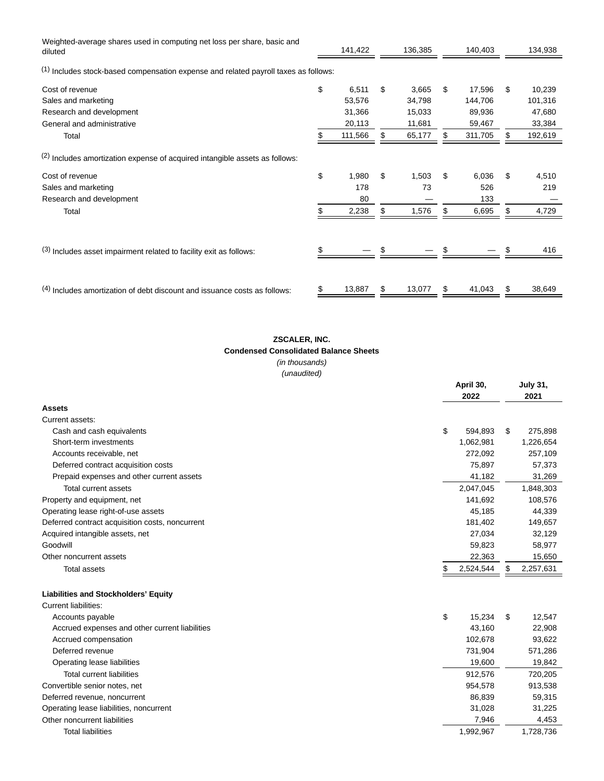| Weighted-average shares used in computing net loss per share, basic and<br>diluted             | 141,422     |    | 136,385 |    | 140,403 |    | 134,938 |
|------------------------------------------------------------------------------------------------|-------------|----|---------|----|---------|----|---------|
| <sup>(1)</sup> Includes stock-based compensation expense and related payroll taxes as follows: |             |    |         |    |         |    |         |
| Cost of revenue                                                                                | \$<br>6,511 | \$ | 3,665   | \$ | 17,596  | S  | 10,239  |
| Sales and marketing                                                                            | 53,576      |    | 34,798  |    | 144,706 |    | 101,316 |
| Research and development                                                                       | 31,366      |    | 15,033  |    | 89,936  |    | 47,680  |
| General and administrative                                                                     | 20,113      |    | 11,681  |    | 59,467  |    | 33,384  |
| Total                                                                                          | 111,566     |    | 65,177  |    | 311,705 |    | 192,619 |
| (2) Includes amortization expense of acquired intangible assets as follows:                    |             |    |         |    |         |    |         |
| Cost of revenue                                                                                | \$<br>1,980 | \$ | 1,503   | \$ | 6,036   | \$ | 4,510   |
| Sales and marketing                                                                            | 178         |    | 73      |    | 526     |    | 219     |
| Research and development                                                                       | 80          |    |         |    | 133     |    |         |
| Total                                                                                          | 2,238       |    | 1,576   | S  | 6,695   |    | 4,729   |
|                                                                                                |             |    |         |    |         |    |         |
| (3) Includes asset impairment related to facility exit as follows:                             |             |    |         |    |         |    | 416     |
|                                                                                                |             |    |         |    |         |    |         |
| $(4)$ Includes amortization of debt discount and issuance costs as follows:                    | 13,887      | S  | 13,077  | \$ | 41,043  | S  | 38,649  |
|                                                                                                |             |    |         |    |         |    |         |

## **ZSCALER, INC.**

# **Condensed Consolidated Balance Sheets**

(in thousands) (unaudited)

|                                                 | April 30,<br>2022 |    | <b>July 31,</b><br>2021 |
|-------------------------------------------------|-------------------|----|-------------------------|
| <b>Assets</b>                                   |                   |    |                         |
| Current assets:                                 |                   |    |                         |
| Cash and cash equivalents                       | \$<br>594.893     | \$ | 275,898                 |
| Short-term investments                          | 1,062,981         |    | 1,226,654               |
| Accounts receivable, net                        | 272,092           |    | 257,109                 |
| Deferred contract acquisition costs             | 75,897            |    | 57,373                  |
| Prepaid expenses and other current assets       | 41,182            |    | 31,269                  |
| Total current assets                            | 2,047,045         |    | 1,848,303               |
| Property and equipment, net                     | 141,692           |    | 108,576                 |
| Operating lease right-of-use assets             | 45,185            |    | 44,339                  |
| Deferred contract acquisition costs, noncurrent | 181,402           |    | 149,657                 |
| Acquired intangible assets, net                 | 27,034            |    | 32,129                  |
| Goodwill                                        | 59,823            |    | 58,977                  |
| Other noncurrent assets                         | 22,363            |    | 15,650                  |
| <b>Total assets</b>                             | 2,524,544         | \$ | 2,257,631               |
| <b>Liabilities and Stockholders' Equity</b>     |                   |    |                         |
| <b>Current liabilities:</b>                     |                   |    |                         |
| Accounts payable                                | \$<br>15,234      | \$ | 12,547                  |
| Accrued expenses and other current liabilities  | 43,160            |    | 22,908                  |
| Accrued compensation                            | 102,678           |    | 93,622                  |
| Deferred revenue                                | 731,904           |    | 571,286                 |
| Operating lease liabilities                     | 19,600            |    | 19,842                  |
| <b>Total current liabilities</b>                | 912,576           |    | 720,205                 |
| Convertible senior notes, net                   | 954,578           |    | 913,538                 |
| Deferred revenue, noncurrent                    | 86,839            |    | 59,315                  |
| Operating lease liabilities, noncurrent         | 31,028            |    | 31,225                  |
| Other noncurrent liabilities                    | 7,946             |    | 4,453                   |
| <b>Total liabilities</b>                        | 1,992,967         |    | 1,728,736               |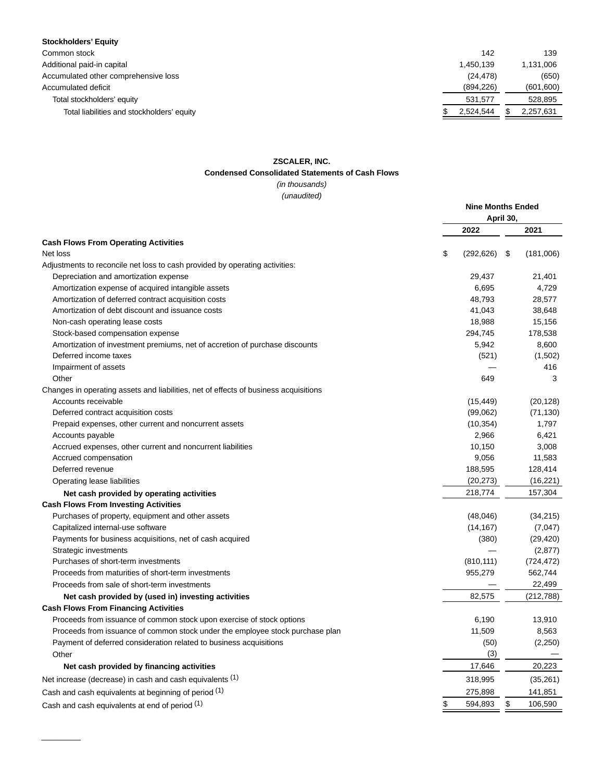| <b>Stockholders' Equity</b>                |            |            |
|--------------------------------------------|------------|------------|
| Common stock                               | 142        | 139        |
| Additional paid-in capital                 | 1,450,139  | 1,131,006  |
| Accumulated other comprehensive loss       | (24, 478)  | (650)      |
| Accumulated deficit                        | (894, 226) | (601, 600) |
| Total stockholders' equity                 | 531.577    | 528,895    |
| Total liabilities and stockholders' equity | 2,524,544  | 2,257,631  |

# **ZSCALER, INC. Condensed Consolidated Statements of Cash Flows** (in thousands) (unaudited)

|                                                                                      | <b>Nine Months Ended</b><br>April 30, |            |    |            |
|--------------------------------------------------------------------------------------|---------------------------------------|------------|----|------------|
|                                                                                      | 2022                                  |            |    | 2021       |
| <b>Cash Flows From Operating Activities</b>                                          |                                       |            |    |            |
| Net loss                                                                             | \$                                    | (292, 626) | \$ | (181,006)  |
| Adjustments to reconcile net loss to cash provided by operating activities:          |                                       |            |    |            |
| Depreciation and amortization expense                                                |                                       | 29,437     |    | 21,401     |
| Amortization expense of acquired intangible assets                                   |                                       | 6,695      |    | 4,729      |
| Amortization of deferred contract acquisition costs                                  |                                       | 48,793     |    | 28,577     |
| Amortization of debt discount and issuance costs                                     |                                       | 41,043     |    | 38,648     |
| Non-cash operating lease costs                                                       |                                       | 18,988     |    | 15,156     |
| Stock-based compensation expense                                                     |                                       | 294,745    |    | 178,538    |
| Amortization of investment premiums, net of accretion of purchase discounts          |                                       | 5,942      |    | 8,600      |
| Deferred income taxes                                                                |                                       | (521)      |    | (1,502)    |
| Impairment of assets                                                                 |                                       |            |    | 416        |
| Other                                                                                |                                       | 649        |    | 3          |
| Changes in operating assets and liabilities, net of effects of business acquisitions |                                       |            |    |            |
| Accounts receivable                                                                  |                                       | (15, 449)  |    | (20, 128)  |
| Deferred contract acquisition costs                                                  |                                       | (99,062)   |    | (71, 130)  |
| Prepaid expenses, other current and noncurrent assets                                |                                       | (10, 354)  |    | 1,797      |
| Accounts payable                                                                     |                                       | 2,966      |    | 6,421      |
| Accrued expenses, other current and noncurrent liabilities                           |                                       | 10,150     |    | 3,008      |
| Accrued compensation                                                                 |                                       | 9,056      |    | 11,583     |
| Deferred revenue                                                                     |                                       | 188,595    |    | 128,414    |
| Operating lease liabilities                                                          |                                       | (20, 273)  |    | (16, 221)  |
| Net cash provided by operating activities                                            |                                       | 218,774    |    | 157,304    |
| <b>Cash Flows From Investing Activities</b>                                          |                                       |            |    |            |
| Purchases of property, equipment and other assets                                    |                                       | (48,046)   |    | (34,215)   |
| Capitalized internal-use software                                                    |                                       | (14, 167)  |    | (7,047)    |
| Payments for business acquisitions, net of cash acquired                             |                                       | (380)      |    | (29, 420)  |
| Strategic investments                                                                |                                       |            |    | (2,877)    |
| Purchases of short-term investments                                                  |                                       | (810, 111) |    | (724, 472) |
| Proceeds from maturities of short-term investments                                   |                                       | 955,279    |    | 562,744    |
| Proceeds from sale of short-term investments                                         |                                       |            |    | 22,499     |
| Net cash provided by (used in) investing activities                                  |                                       | 82,575     |    | (212, 788) |
| <b>Cash Flows From Financing Activities</b>                                          |                                       |            |    |            |
| Proceeds from issuance of common stock upon exercise of stock options                |                                       | 6,190      |    | 13,910     |
| Proceeds from issuance of common stock under the employee stock purchase plan        |                                       | 11,509     |    | 8,563      |
| Payment of deferred consideration related to business acquisitions                   |                                       | (50)       |    | (2,250)    |
| Other                                                                                |                                       | (3)        |    |            |
| Net cash provided by financing activities                                            |                                       | 17,646     |    | 20,223     |
| Net increase (decrease) in cash and cash equivalents (1)                             |                                       | 318,995    |    | (35, 261)  |
| Cash and cash equivalents at beginning of period (1)                                 |                                       | 275,898    |    | 141,851    |
| Cash and cash equivalents at end of period (1)                                       | \$                                    | 594,893    | \$ | 106,590    |

 $\overline{\phantom{a}}$  , where  $\overline{\phantom{a}}$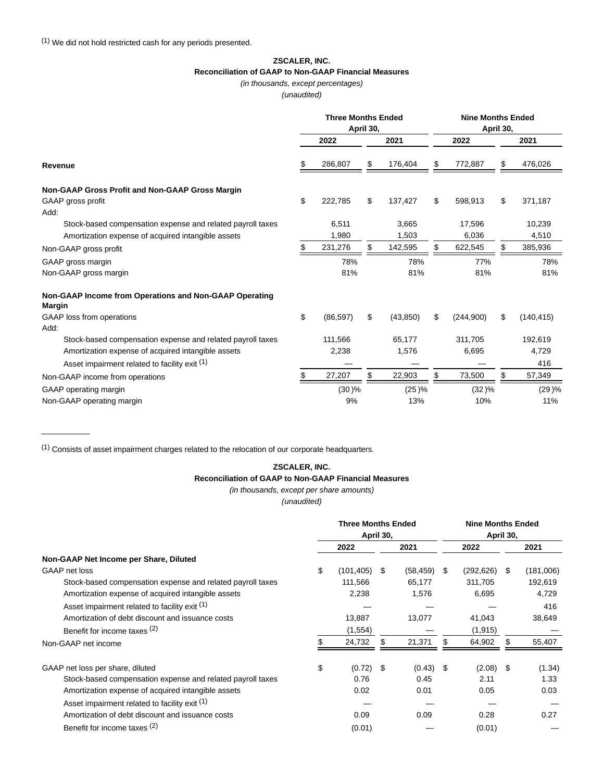### **ZSCALER, INC.**

# **Reconciliation of GAAP to Non-GAAP Financial Measures**

(in thousands, except percentages)

(unaudited)

|                                                                  | <b>Three Months Ended</b> |           |           | <b>Nine Months Ended</b> |           |    |            |  |  |  |
|------------------------------------------------------------------|---------------------------|-----------|-----------|--------------------------|-----------|----|------------|--|--|--|
|                                                                  |                           | April 30, |           | April 30,                |           |    |            |  |  |  |
| Revenue                                                          | 2022                      |           | 2021      |                          | 2022      |    | 2021       |  |  |  |
|                                                                  | 286,807                   | \$        | 176,404   | \$                       | 772,887   | \$ | 476,026    |  |  |  |
| Non-GAAP Gross Profit and Non-GAAP Gross Margin                  |                           |           |           |                          |           |    |            |  |  |  |
| GAAP gross profit                                                | \$<br>222,785             | \$        | 137,427   | \$                       | 598,913   | \$ | 371,187    |  |  |  |
| Add:                                                             |                           |           |           |                          |           |    |            |  |  |  |
| Stock-based compensation expense and related payroll taxes       | 6,511                     |           | 3,665     |                          | 17,596    |    | 10,239     |  |  |  |
| Amortization expense of acquired intangible assets               | 1,980                     |           | 1,503     | 6,036                    |           |    | 4,510      |  |  |  |
| Non-GAAP gross profit                                            | 231,276                   | \$        | 142,595   | \$                       | 622,545   | \$ | 385,936    |  |  |  |
| GAAP gross margin                                                | 78%                       |           | 78%       |                          | 77%       |    | 78%        |  |  |  |
| Non-GAAP gross margin                                            | 81%                       |           | 81%       |                          |           |    | 81%        |  |  |  |
| Non-GAAP Income from Operations and Non-GAAP Operating<br>Margin |                           |           |           |                          |           |    |            |  |  |  |
| GAAP loss from operations                                        | \$<br>(86, 597)           | \$        | (43, 850) | \$                       | (244,900) | \$ | (140, 415) |  |  |  |
| Add:                                                             |                           |           |           |                          |           |    |            |  |  |  |
| Stock-based compensation expense and related payroll taxes       | 111,566                   |           | 65,177    |                          | 311,705   |    | 192,619    |  |  |  |
| Amortization expense of acquired intangible assets               | 2,238                     |           | 1,576     |                          | 6,695     |    | 4,729      |  |  |  |
| Asset impairment related to facility exit (1)                    |                           |           |           |                          |           |    | 416        |  |  |  |
| Non-GAAP income from operations                                  | 27,207                    | \$        | 22,903    | \$                       | 73,500    | \$ | 57,349     |  |  |  |
| GAAP operating margin                                            | (30)%                     |           | $(25)$ %  |                          | (32)%     |    | (29)%      |  |  |  |
| Non-GAAP operating margin                                        | 9%                        |           | 13%       |                          | 10%       |    | 11%        |  |  |  |

(1) Consists of asset impairment charges related to the relocation of our corporate headquarters.

\_\_\_\_\_\_\_\_\_\_\_

### **ZSCALER, INC.**

# **Reconciliation of GAAP to Non-GAAP Financial Measures**

(in thousands, except per share amounts)

(unaudited)

|                                                            | <b>Three Months Ended</b><br>April 30, |             |   |             | <b>Nine Months Ended</b><br>April 30, |             |   |           |  |
|------------------------------------------------------------|----------------------------------------|-------------|---|-------------|---------------------------------------|-------------|---|-----------|--|
|                                                            |                                        | 2022        |   | 2021        |                                       | 2022        |   | 2021      |  |
| Non-GAAP Net Income per Share, Diluted                     |                                        |             |   |             |                                       |             |   |           |  |
| GAAP net loss                                              | \$                                     | (101, 405)  | S | (58, 459)   | - \$                                  | (292, 626)  | S | (181,006) |  |
| Stock-based compensation expense and related payroll taxes |                                        | 111,566     |   | 65,177      |                                       | 311,705     |   | 192,619   |  |
| Amortization expense of acquired intangible assets         |                                        | 2,238       |   | 1,576       |                                       | 6,695       |   | 4,729     |  |
| Asset impairment related to facility exit <sup>(1)</sup>   |                                        |             |   |             |                                       |             |   | 416       |  |
| Amortization of debt discount and issuance costs           |                                        | 13,887      |   | 13,077      |                                       | 41,043      |   | 38,649    |  |
| Benefit for income taxes (2)                               |                                        | (1,554)     |   |             |                                       | (1, 915)    |   |           |  |
| Non-GAAP net income                                        |                                        | 24,732      |   | 21,371      |                                       | 64,902      |   | 55,407    |  |
| GAAP net loss per share, diluted                           | \$                                     | $(0.72)$ \$ |   | $(0.43)$ \$ |                                       | $(2.08)$ \$ |   | (1.34)    |  |
| Stock-based compensation expense and related payroll taxes |                                        | 0.76        |   | 0.45        |                                       | 2.11        |   | 1.33      |  |
| Amortization expense of acquired intangible assets         |                                        | 0.02        |   | 0.01        |                                       | 0.05        |   | 0.03      |  |
| Asset impairment related to facility exit (1)              |                                        |             |   |             |                                       |             |   |           |  |
| Amortization of debt discount and issuance costs           |                                        | 0.09        |   | 0.09        |                                       | 0.28        |   | 0.27      |  |
| Benefit for income taxes (2)                               |                                        | (0.01)      |   |             |                                       | (0.01)      |   |           |  |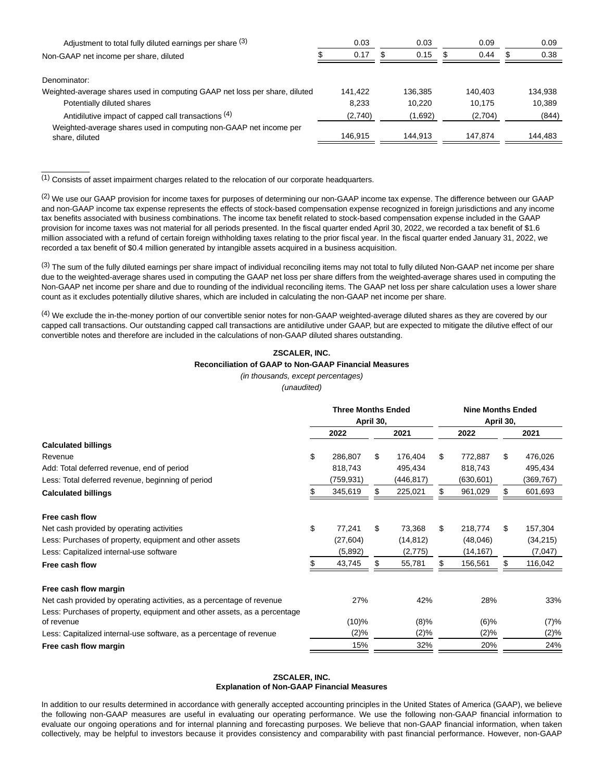| Adjustment to total fully diluted earnings per share (3)                            | 0.03    | 0.03    | 0.09    | 0.09    |
|-------------------------------------------------------------------------------------|---------|---------|---------|---------|
| Non-GAAP net income per share, diluted                                              | 0.17    | 0.15    | 0.44    | 0.38    |
|                                                                                     |         |         |         |         |
| Denominator:                                                                        |         |         |         |         |
| Weighted-average shares used in computing GAAP net loss per share, diluted          | 141.422 | 136.385 | 140.403 | 134,938 |
| Potentially diluted shares                                                          | 8.233   | 10.220  | 10.175  | 10,389  |
| Antidilutive impact of capped call transactions (4)                                 | (2,740) | (1,692) | (2,704) | (844)   |
| Weighted-average shares used in computing non-GAAP net income per<br>share, diluted | 146.915 | 144.913 | 147.874 | 144.483 |

(1) Consists of asset impairment charges related to the relocation of our corporate headquarters.

 $\overline{\phantom{a}}$ 

(2) We use our GAAP provision for income taxes for purposes of determining our non-GAAP income tax expense. The difference between our GAAP and non-GAAP income tax expense represents the effects of stock-based compensation expense recognized in foreign jurisdictions and any income tax benefits associated with business combinations. The income tax benefit related to stock-based compensation expense included in the GAAP provision for income taxes was not material for all periods presented. In the fiscal quarter ended April 30, 2022, we recorded a tax benefit of \$1.6 million associated with a refund of certain foreign withholding taxes relating to the prior fiscal year. In the fiscal quarter ended January 31, 2022, we recorded a tax benefit of \$0.4 million generated by intangible assets acquired in a business acquisition.

<sup>(3)</sup> The sum of the fully diluted earnings per share impact of individual reconciling items may not total to fully diluted Non-GAAP net income per share due to the weighted-average shares used in computing the GAAP net loss per share differs from the weighted-average shares used in computing the Non-GAAP net income per share and due to rounding of the individual reconciling items. The GAAP net loss per share calculation uses a lower share count as it excludes potentially dilutive shares, which are included in calculating the non-GAAP net income per share.

(4) We exclude the in-the-money portion of our convertible senior notes for non-GAAP weighted-average diluted shares as they are covered by our capped call transactions. Our outstanding capped call transactions are antidilutive under GAAP, but are expected to mitigate the dilutive effect of our convertible notes and therefore are included in the calculations of non-GAAP diluted shares outstanding.

### **ZSCALER, INC.**

## **Reconciliation of GAAP to Non-GAAP Financial Measures**

(in thousands, except percentages)

(unaudited)

|                                                                                        | <b>Three Months Ended</b><br>April 30, |           |      |           | <b>Nine Months Ended</b><br>April 30, |            |    |           |  |
|----------------------------------------------------------------------------------------|----------------------------------------|-----------|------|-----------|---------------------------------------|------------|----|-----------|--|
|                                                                                        |                                        | 2022      | 2021 |           | 2022                                  |            |    | 2021      |  |
| <b>Calculated billings</b>                                                             |                                        |           |      |           |                                       |            |    |           |  |
| Revenue                                                                                | \$                                     | 286,807   | \$   | 176,404   | \$                                    | 772,887    | \$ | 476,026   |  |
| Add: Total deferred revenue, end of period                                             |                                        | 818,743   |      | 495,434   |                                       | 818,743    |    | 495,434   |  |
| Less: Total deferred revenue, beginning of period                                      |                                        | (759,931) |      | (446,817) |                                       | (630, 601) |    | (369,767) |  |
| <b>Calculated billings</b>                                                             |                                        | 345,619   |      | 225,021   |                                       | 961,029    |    | 601,693   |  |
| Free cash flow                                                                         |                                        |           |      |           |                                       |            |    |           |  |
| Net cash provided by operating activities                                              | \$                                     | 77,241    | \$   | 73,368    | S                                     | 218,774    | S  | 157,304   |  |
| Less: Purchases of property, equipment and other assets                                |                                        | (27, 604) |      | (14, 812) |                                       | (48,046)   |    | (34, 215) |  |
| Less: Capitalized internal-use software                                                |                                        | (5,892)   |      | (2,775)   |                                       | (14, 167)  |    | (7,047)   |  |
| Free cash flow                                                                         |                                        | 43,745    | \$.  | 55,781    |                                       | 156,561    | S  | 116,042   |  |
| Free cash flow margin                                                                  |                                        |           |      |           |                                       |            |    |           |  |
| Net cash provided by operating activities, as a percentage of revenue                  |                                        | 27%       |      | 42%       |                                       | 28%        |    | 33%       |  |
| Less: Purchases of property, equipment and other assets, as a percentage<br>of revenue |                                        | $(10)\%$  |      | $(8)\%$   |                                       | $(6)\%$    |    | (7)%      |  |
| Less: Capitalized internal-use software, as a percentage of revenue                    |                                        | (2)%      |      | $(2)\%$   |                                       | (2)%       |    | (2)%      |  |
| Free cash flow margin                                                                  |                                        | 15%       |      | 32%       |                                       | 20%        |    | 24%       |  |

# **ZSCALER, INC.**

### **Explanation of Non-GAAP Financial Measures**

In addition to our results determined in accordance with generally accepted accounting principles in the United States of America (GAAP), we believe the following non-GAAP measures are useful in evaluating our operating performance. We use the following non-GAAP financial information to evaluate our ongoing operations and for internal planning and forecasting purposes. We believe that non-GAAP financial information, when taken collectively, may be helpful to investors because it provides consistency and comparability with past financial performance. However, non-GAAP